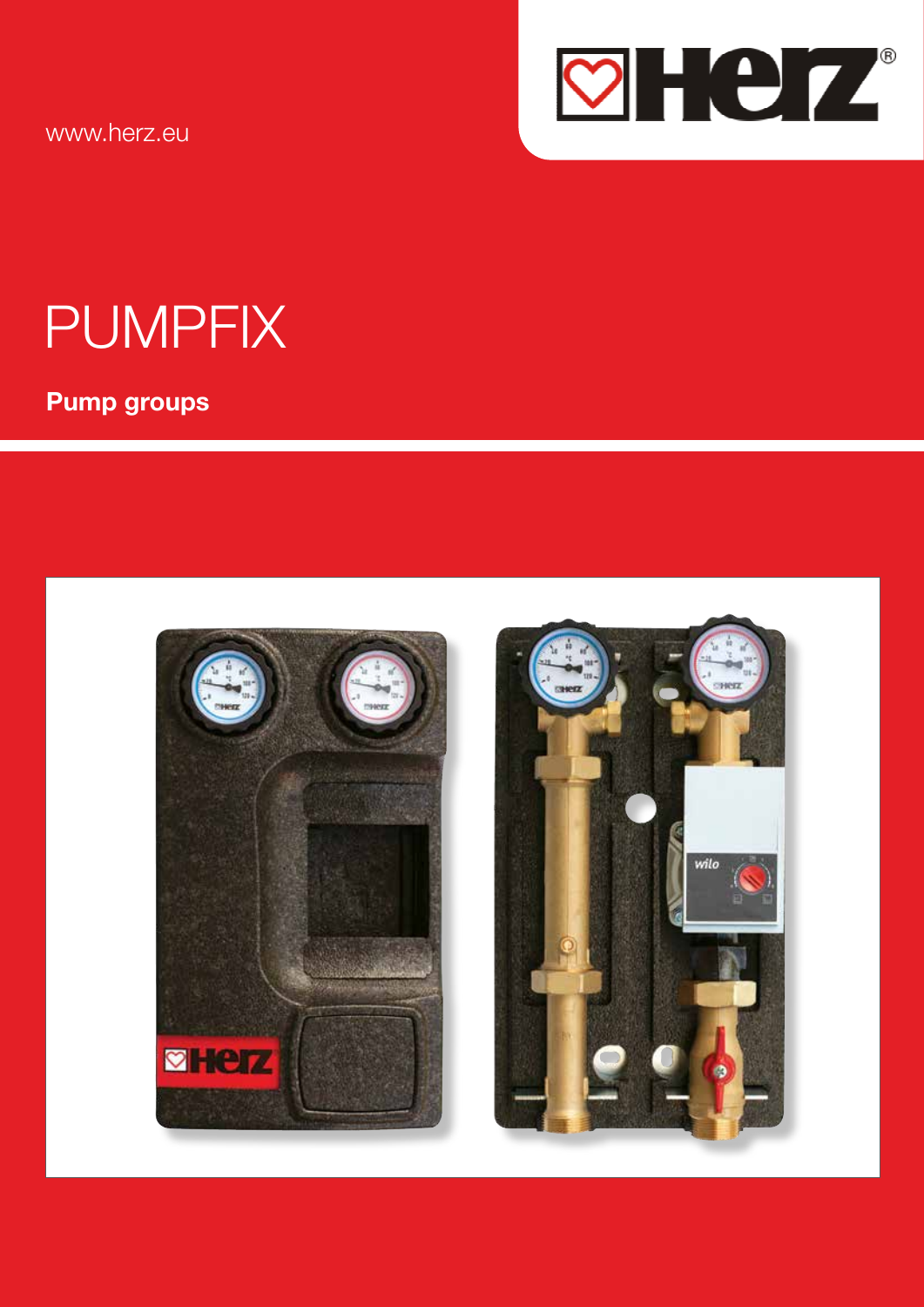www.herz.eu



# **PUMPFIX**

**Pump groups** 



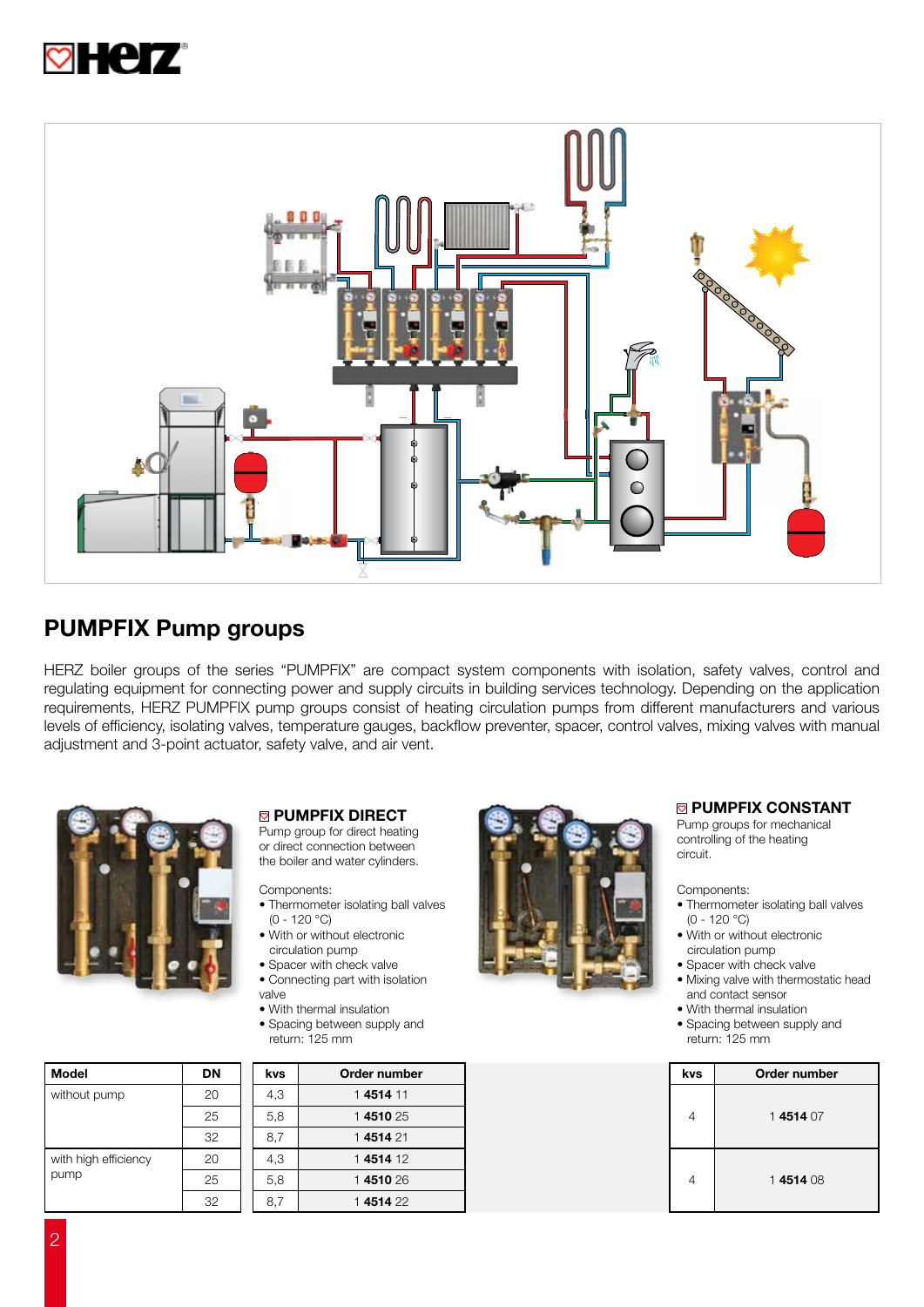



## PUMPFIX Pump groups

HERZ boiler groups of the series "PUMPFIX" are compact system components with isolation, safety valves, control and regulating equipment for connecting power and supply circuits in building services technology. Depending on the application requirements, HERZ PUMPFIX pump groups consist of heating circulation pumps from different manufacturers and various levels of efficiency, isolating valves, temperature gauges, backflow preventer, spacer, control valves, mixing valves with manual adjustment and 3-point actuator, safety valve, and air vent.



#### **<sup>2</sup> PUMPFIX DIRECT**

Pump group for direct heating or direct connection between the boiler and water cylinders.

Components:

- Thermometer isolating ball valves (0 - 120 °C)
- With or without electronic circulation pump
- Spacer with check valve
- Connecting part with isolation valve
- With thermal insulation
- Spacing between supply and return: 125 mm

| <b>DN</b> | kvs. | Order number |   | <b>kvs</b> | Order number |
|-----------|------|--------------|---|------------|--------------|
| 20        | 4,3  | 14514 11     |   | 4          | 1451407      |
| 25        | 5,8  | 1451025      |   |            |              |
| 32        | 8,7  | 1451421      |   |            |              |
| 20        | 4,3  | 1451412      |   |            |              |
| 25        | 5,8  | 1451026      | 4 |            | 1451408      |
| 32        | 8,7  | 1451422      |   |            |              |
|           |      |              |   |            |              |



#### **E PUMPFIX CONSTANT**

Pump groups for mechanical controlling of the heating circuit.

Components:

- Thermometer isolating ball valves (0 - 120 °C)
- With or without electronic circulation pump
- Spacer with check valve
- Mixing valve with thermostatic head and contact sensor
- With thermal insulation
- Spacing between supply and return: 125 mm

| kvs | Order number |
|-----|--------------|
|     | 1451407      |
|     | 1451408      |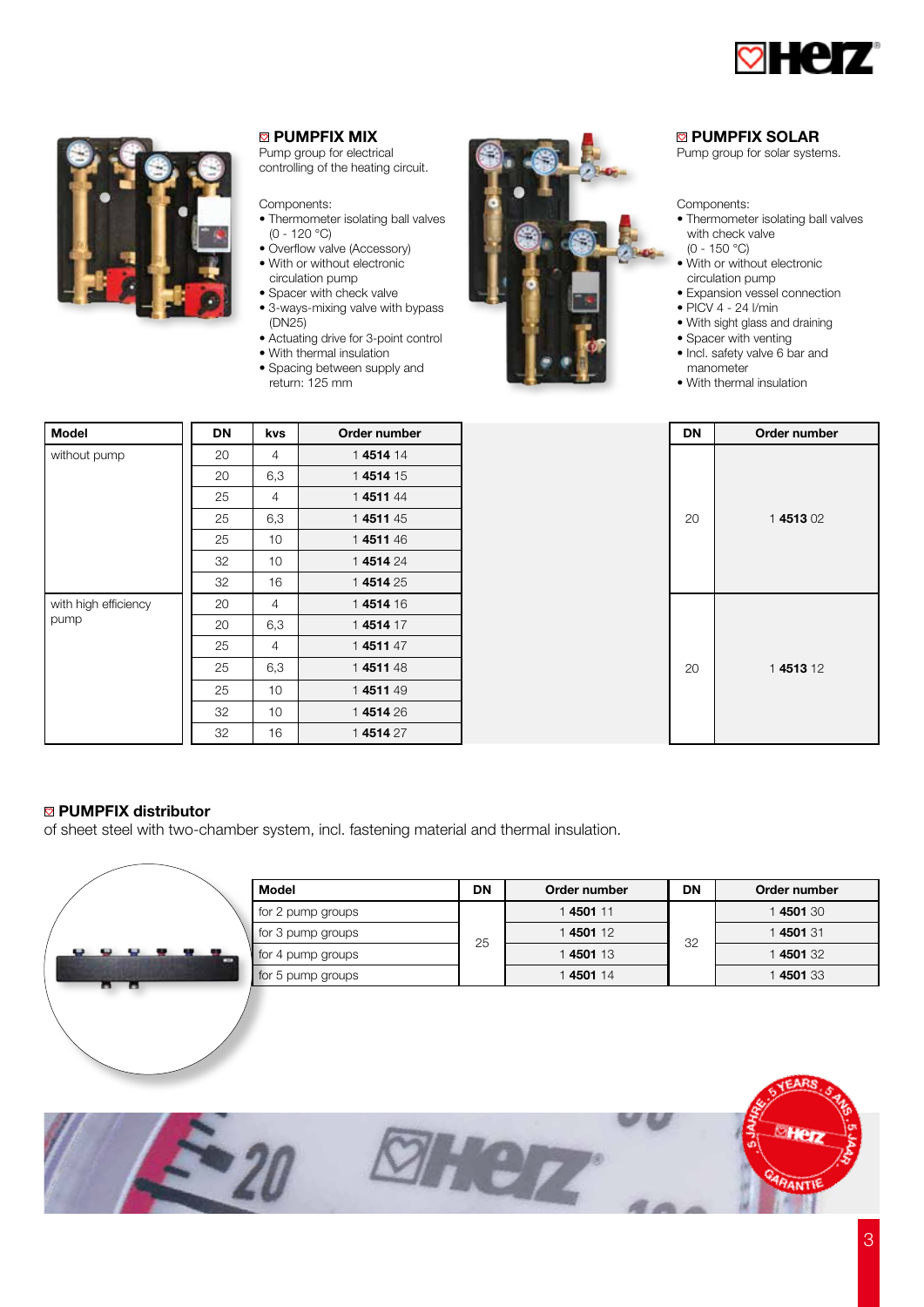



#### **<sup>2</sup>** PUMPFIX MIX

Pump group for electrical controlling of the heating circuit.

Components:

- Thermometer isolating ball valves  $(0 - 120 °C)$
- Overflow valve (Accessory) • With or without electronic circulation pump
- Spacer with check valve
- 3-ways-mixing valve with bypass (DN25)
- Actuating drive for 3-point control
- With thermal insulation
- Spacing between supply and return: 125 mm



#### **EX PUMPFIX SOLAR**

Pump group for solar systems.

#### Components:

- Thermometer isolating ball valves with check valve (0 - 150 °C)
- With or without electronic circulation pump
- Expansion vessel connection • PICV 4 - 24 l/min
- With sight glass and draining
- Spacer with venting
- 
- Incl. safety valve 6 bar and manometer
- With thermal insulation

| <b>Model</b>         | <b>DN</b> | kvs | Order number |
|----------------------|-----------|-----|--------------|
| without pump         | 20        | 4   | 1451414      |
|                      | 20        | 6,3 | 1451415      |
|                      | 25        | 4   | 1451144      |
|                      | 25        | 6,3 | 1451145      |
|                      | 25        | 10  | 1451146      |
|                      | 32        | 10  | 1451424      |
|                      | 32        | 16  | 1451425      |
| with high efficiency | 20        | 4   | 1451416      |
| pump                 | 20        | 6,3 | 1451417      |
|                      | 25        | 4   | 1451147      |
|                      | 25        | 6,3 | 1451148      |
|                      | 25        | 10  | 1451149      |
|                      | 32        | 10  | 1451426      |
|                      | 32        | 16  | 1451427      |

| <b>DN</b> | Order number |  |  |  |
|-----------|--------------|--|--|--|
| 20        | 1451302      |  |  |  |
| 20        | 1451312      |  |  |  |

#### **<b><sup>■</sup>** PUMPFIX distributor

of sheet steel with two-chamber system, incl. fastening material and thermal insulation.

|                   | <b>Model</b>      | <b>DN</b> | Order number | <b>DN</b> | Order number |
|-------------------|-------------------|-----------|--------------|-----------|--------------|
|                   | for 2 pump groups |           | 1450111      |           | 1450130      |
|                   | for 3 pump groups |           | 1450112      |           | 1450131      |
| .<br>$\mathbf{u}$ | for 4 pump groups | 25        | 1450113      | 32        | 4501 32      |
| 8 B               | for 5 pump groups |           | 1450114      |           | 4501 33      |
| --                |                   |           | ______       |           |              |

Hez

ा

PANTI